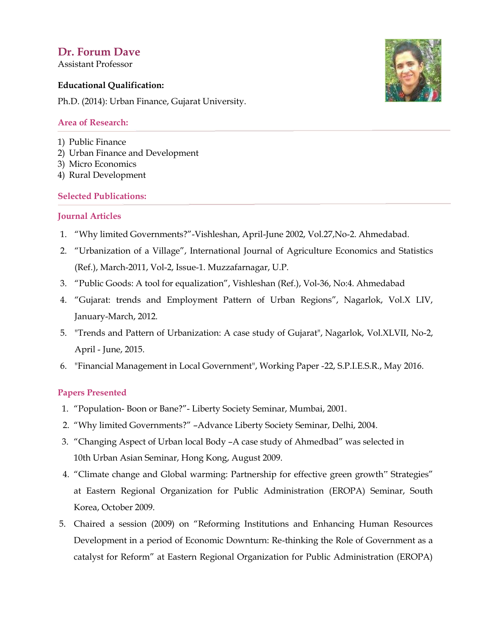# **Dr. Forum Dave**

Assistant Professor

### **Educational Qualification:**

Ph.D. (2014): Urban Finance, Gujarat University.

#### **Area of Research:**

- 1) Public Finance
- 2) Urban Finance and Development
- 3) Micro Economics
- 4) Rural Development

### **Selected Publications:**

### **Journal Articles**

- 1. "Why limited Governments?"-Vishleshan, April-June 2002, Vol.27,No-2. Ahmedabad.
- 2. "Urbanization of a Village", International Journal of Agriculture Economics and Statistics (Ref.), March-2011, Vol-2, Issue-1. Muzzafarnagar, U.P.
- 3. "Public Goods: A tool for equalization", Vishleshan (Ref.), Vol-36, No:4. Ahmedabad
- 4. "Gujarat: trends and Employment Pattern of Urban Regions", Nagarlok, Vol.X LIV, January-March, 2012.
- 5. "Trends and Pattern of Urbanization: A case study of Gujarat", Nagarlok, Vol.XLVII, No-2, April - June, 2015.
- 6. "Financial Management in Local Government", Working Paper -22, S.P.I.E.S.R., May 2016.

## **Papers Presented**

- 1. "Population- Boon or Bane?"- Liberty Society Seminar, Mumbai, 2001.
- 2. "Why limited Governments?" –Advance Liberty Society Seminar, Delhi, 2004.
- 3. "Changing Aspect of Urban local Body –A case study of Ahmedbad" was selected in 10th Urban Asian Seminar, Hong Kong, August 2009.
- 4. "Climate change and Global warming: Partnership for effective green growth" Strategies" at Eastern Regional Organization for Public Administration (EROPA) Seminar, South Korea, October 2009.
- 5. Chaired a session (2009) on "Reforming Institutions and Enhancing Human Resources Development in a period of Economic Downturn: Re-thinking the Role of Government as a catalyst for Reform" at Eastern Regional Organization for Public Administration (EROPA)

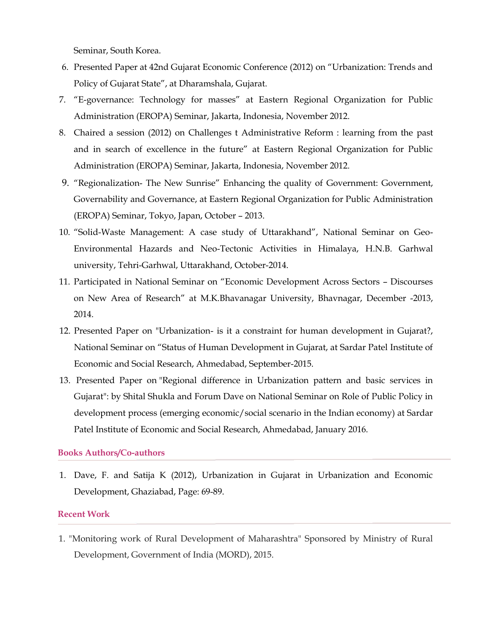Seminar, South Korea.

- 6. Presented Paper at 42nd Gujarat Economic Conference (2012) on "Urbanization: Trends and Policy of Gujarat State", at Dharamshala, Gujarat.
- 7. "E-governance: Technology for masses" at Eastern Regional Organization for Public Administration (EROPA) Seminar, Jakarta, Indonesia, November 2012.
- 8. Chaired a session (2012) on Challenges t Administrative Reform : learning from the past and in search of excellence in the future" at Eastern Regional Organization for Public Administration (EROPA) Seminar, Jakarta, Indonesia, November 2012.
- 9. "Regionalization- The New Sunrise" Enhancing the quality of Government: Government, Governability and Governance, at Eastern Regional Organization for Public Administration (EROPA) Seminar, Tokyo, Japan, October – 2013.
- 10. "Solid-Waste Management: A case study of Uttarakhand", National Seminar on Geo-Environmental Hazards and Neo-Tectonic Activities in Himalaya, H.N.B. Garhwal university, Tehri-Garhwal, Uttarakhand, October-2014.
- 11. Participated in National Seminar on "Economic Development Across Sectors Discourses on New Area of Research" at M.K.Bhavanagar University, Bhavnagar, December -2013, 2014.
- 12. Presented Paper on "Urbanization- is it a constraint for human development in Gujarat?, National Seminar on "Status of Human Development in Gujarat, at Sardar Patel Institute of Economic and Social Research, Ahmedabad, September-2015.
- 13. Presented Paper on "Regional difference in Urbanization pattern and basic services in Gujarat": by Shital Shukla and Forum Dave on National Seminar on Role of Public Policy in development process (emerging economic/social scenario in the Indian economy) at Sardar Patel Institute of Economic and Social Research, Ahmedabad, January 2016.

### **Books Authors/Co-authors**

1. Dave, F. and Satija K (2012), Urbanization in Gujarat in Urbanization and Economic Development, Ghaziabad, Page: 69-89.

#### **Recent Work**

1. "Monitoring work of Rural Development of Maharashtra" Sponsored by Ministry of Rural Development, Government of India (MORD), 2015.